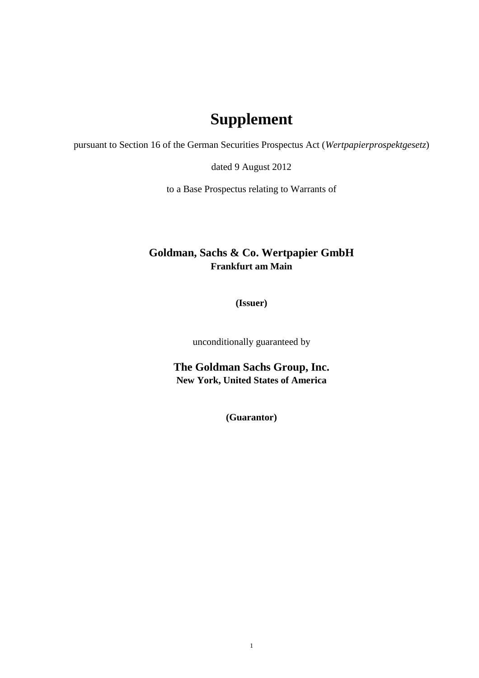## **Supplement**

pursuant to Section 16 of the German Securities Prospectus Act (*Wertpapierprospektgesetz*)

dated 9 August 2012

to a Base Prospectus relating to Warrants of

## **Goldman, Sachs & Co. Wertpapier GmbH Frankfurt am Main**

**(Issuer)**

unconditionally guaranteed by

**The Goldman Sachs Group, Inc. New York, United States of America**

**(Guarantor)**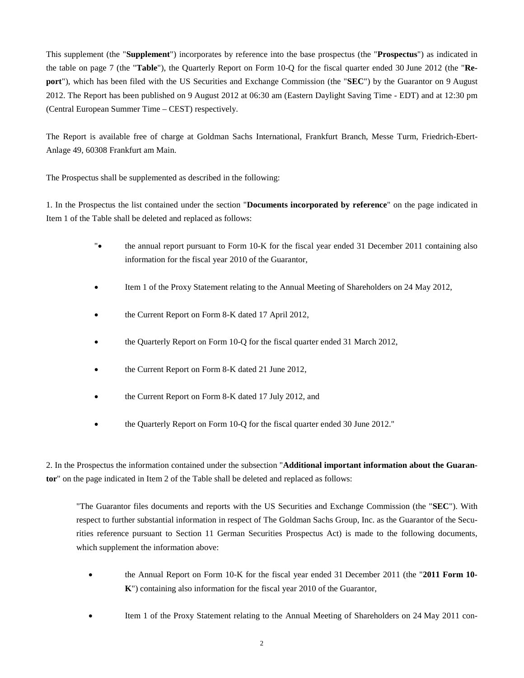This supplement (the "**Supplement**") incorporates by reference into the base prospectus (the "**Prospectus**") as indicated in the table on page 7 (the "**Table**"), the Quarterly Report on Form 10-Q for the fiscal quarter ended 30 June 2012 (the "**Report**"), which has been filed with the US Securities and Exchange Commission (the "**SEC**") by the Guarantor on 9 August 2012. The Report has been published on 9 August 2012 at 06:30 am (Eastern Daylight Saving Time - EDT) and at 12:30 pm (Central European Summer Time – CEST) respectively.

The Report is available free of charge at Goldman Sachs International, Frankfurt Branch, Messe Turm, Friedrich-Ebert-Anlage 49, 60308 Frankfurt am Main.

The Prospectus shall be supplemented as described in the following:

1. In the Prospectus the list contained under the section "**Documents incorporated by reference**" on the page indicated in Item 1 of the Table shall be deleted and replaced as follows:

- "• the annual report pursuant to Form 10-K for the fiscal year ended 31 December 2011 containing also information for the fiscal year 2010 of the Guarantor,
- Item 1 of the Proxy Statement relating to the Annual Meeting of Shareholders on 24 May 2012,
- the Current Report on Form 8-K dated 17 April 2012,
- the Quarterly Report on Form 10-Q for the fiscal quarter ended 31 March 2012,
- the Current Report on Form 8-K dated 21 June 2012,
- the Current Report on Form 8-K dated 17 July 2012, and
- the Quarterly Report on Form 10-Q for the fiscal quarter ended 30 June 2012."

2. In the Prospectus the information contained under the subsection "**Additional important information about the Guarantor**" on the page indicated in Item 2 of the Table shall be deleted and replaced as follows:

"The Guarantor files documents and reports with the US Securities and Exchange Commission (the "**SEC**"). With respect to further substantial information in respect of The Goldman Sachs Group, Inc. as the Guarantor of the Securities reference pursuant to Section 11 German Securities Prospectus Act) is made to the following documents, which supplement the information above:

- the Annual Report on Form 10-K for the fiscal year ended 31 December 2011 (the "**2011 Form 10- K**") containing also information for the fiscal year 2010 of the Guarantor,
- Item 1 of the Proxy Statement relating to the Annual Meeting of Shareholders on 24 May 2011 con-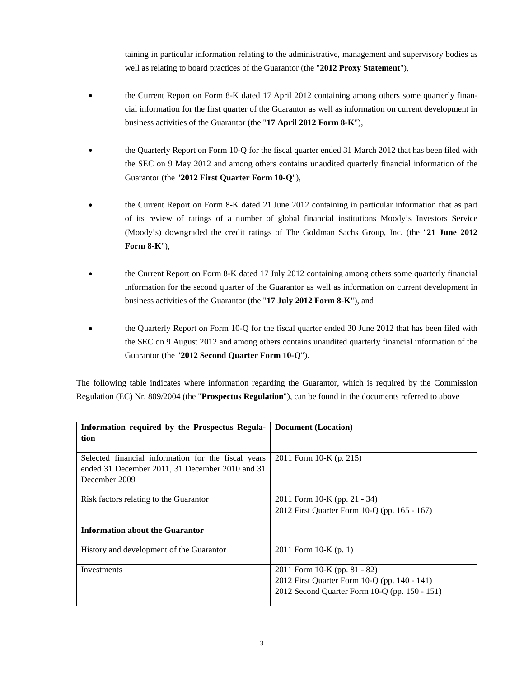taining in particular information relating to the administrative, management and supervisory bodies as well as relating to board practices of the Guarantor (the "**2012 Proxy Statement**"),

- the Current Report on Form 8-K dated 17 April 2012 containing among others some quarterly financial information for the first quarter of the Guarantor as well as information on current development in business activities of the Guarantor (the "**17 April 2012 Form 8-K**"),
- the Quarterly Report on Form 10-Q for the fiscal quarter ended 31 March 2012 that has been filed with the SEC on 9 May 2012 and among others contains unaudited quarterly financial information of the Guarantor (the "**2012 First Quarter Form 10-Q**"),
- the Current Report on Form 8-K dated 21 June 2012 containing in particular information that as part of its review of ratings of a number of global financial institutions Moody's Investors Service (Moody's) downgraded the credit ratings of The Goldman Sachs Group, Inc. (the "**21 June 2012 Form 8-K**"),
- the Current Report on Form 8-K dated 17 July 2012 containing among others some quarterly financial information for the second quarter of the Guarantor as well as information on current development in business activities of the Guarantor (the "**17 July 2012 Form 8-K**"), and
- the Quarterly Report on Form 10-Q for the fiscal quarter ended 30 June 2012 that has been filed with the SEC on 9 August 2012 and among others contains unaudited quarterly financial information of the Guarantor (the "**2012 Second Quarter Form 10-Q**").

The following table indicates where information regarding the Guarantor, which is required by the Commission Regulation (EC) Nr. 809/2004 (the "**Prospectus Regulation**"), can be found in the documents referred to above

| Information required by the Prospectus Regula-<br>tion                                                                  | <b>Document</b> (Location)                                                                                                    |  |  |  |
|-------------------------------------------------------------------------------------------------------------------------|-------------------------------------------------------------------------------------------------------------------------------|--|--|--|
| Selected financial information for the fiscal years<br>ended 31 December 2011, 31 December 2010 and 31<br>December 2009 | 2011 Form 10-K (p. 215)                                                                                                       |  |  |  |
| Risk factors relating to the Guarantor                                                                                  | 2011 Form 10-K (pp. 21 - 34)<br>2012 First Quarter Form 10-Q (pp. 165 - 167)                                                  |  |  |  |
| <b>Information about the Guarantor</b>                                                                                  |                                                                                                                               |  |  |  |
| History and development of the Guarantor                                                                                | 2011 Form 10-K $(p. 1)$                                                                                                       |  |  |  |
| Investments                                                                                                             | 2011 Form 10-K (pp. 81 - 82)<br>2012 First Quarter Form 10-Q (pp. 140 - 141)<br>2012 Second Quarter Form 10-Q (pp. 150 - 151) |  |  |  |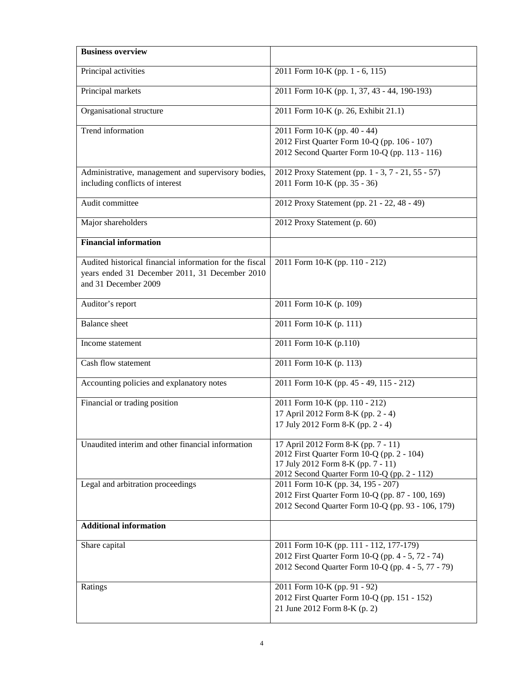| <b>Business overview</b>                                                                                                          |                                                                                                                                                                        |  |  |  |
|-----------------------------------------------------------------------------------------------------------------------------------|------------------------------------------------------------------------------------------------------------------------------------------------------------------------|--|--|--|
| Principal activities                                                                                                              | 2011 Form 10-K (pp. 1 - 6, 115)                                                                                                                                        |  |  |  |
| Principal markets                                                                                                                 | 2011 Form 10-K (pp. 1, 37, 43 - 44, 190-193)                                                                                                                           |  |  |  |
| Organisational structure                                                                                                          | 2011 Form 10-K (p. 26, Exhibit 21.1)                                                                                                                                   |  |  |  |
| Trend information                                                                                                                 | 2011 Form 10-K (pp. 40 - 44)                                                                                                                                           |  |  |  |
|                                                                                                                                   | 2012 First Quarter Form 10-Q (pp. 106 - 107)<br>2012 Second Quarter Form 10-Q (pp. 113 - 116)                                                                          |  |  |  |
| Administrative, management and supervisory bodies,<br>including conflicts of interest                                             | 2012 Proxy Statement (pp. 1 - 3, 7 - 21, 55 - 57)<br>2011 Form 10-K (pp. 35 - 36)                                                                                      |  |  |  |
| Audit committee                                                                                                                   | 2012 Proxy Statement (pp. 21 - 22, 48 - 49)                                                                                                                            |  |  |  |
| Major shareholders                                                                                                                | 2012 Proxy Statement (p. 60)                                                                                                                                           |  |  |  |
| <b>Financial information</b>                                                                                                      |                                                                                                                                                                        |  |  |  |
| Audited historical financial information for the fiscal<br>years ended 31 December 2011, 31 December 2010<br>and 31 December 2009 | 2011 Form 10-K (pp. 110 - 212)                                                                                                                                         |  |  |  |
| Auditor's report                                                                                                                  | 2011 Form 10-K (p. 109)                                                                                                                                                |  |  |  |
| <b>Balance</b> sheet                                                                                                              | 2011 Form 10-K (p. 111)                                                                                                                                                |  |  |  |
| Income statement                                                                                                                  | 2011 Form 10-K (p.110)                                                                                                                                                 |  |  |  |
| Cash flow statement                                                                                                               | 2011 Form 10-K (p. 113)                                                                                                                                                |  |  |  |
| Accounting policies and explanatory notes                                                                                         | 2011 Form 10-K (pp. 45 - 49, 115 - 212)                                                                                                                                |  |  |  |
| Financial or trading position                                                                                                     | 2011 Form 10-K (pp. 110 - 212)<br>17 April 2012 Form 8-K (pp. 2 - 4)<br>17 July 2012 Form 8-K (pp. 2 - 4)                                                              |  |  |  |
| Unaudited interim and other financial information                                                                                 | 17 April 2012 Form 8-K (pp. 7 - 11)<br>2012 First Quarter Form 10-Q (pp. 2 - 104)<br>17 July 2012 Form 8-K (pp. 7 - 11)<br>2012 Second Quarter Form 10-Q (pp. 2 - 112) |  |  |  |
| Legal and arbitration proceedings                                                                                                 | 2011 Form 10-K (pp. 34, 195 - 207)<br>2012 First Quarter Form 10-Q (pp. 87 - 100, 169)<br>2012 Second Quarter Form 10-Q (pp. 93 - 106, 179)                            |  |  |  |
| <b>Additional information</b>                                                                                                     |                                                                                                                                                                        |  |  |  |
| Share capital                                                                                                                     | 2011 Form 10-K (pp. 111 - 112, 177-179)<br>2012 First Quarter Form 10-Q (pp. 4 - 5, 72 - 74)<br>2012 Second Quarter Form 10-Q (pp. 4 - 5, 77 - 79)                     |  |  |  |
| Ratings                                                                                                                           | 2011 Form 10-K (pp. 91 - 92)<br>2012 First Quarter Form 10-Q (pp. 151 - 152)<br>21 June 2012 Form 8-K (p. 2)                                                           |  |  |  |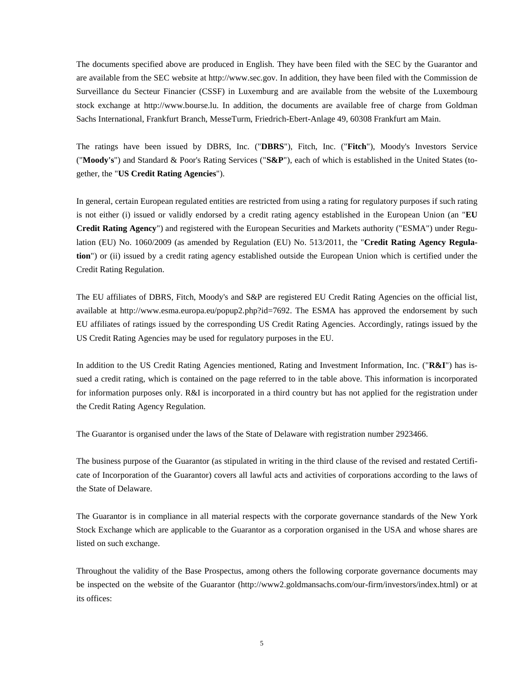The documents specified above are produced in English. They have been filed with the SEC by the Guarantor and are available from the SEC website at http://www.sec.gov. In addition, they have been filed with the Commission de Surveillance du Secteur Financier (CSSF) in Luxemburg and are available from the website of the Luxembourg stock exchange at http://www.bourse.lu. In addition, the documents are available free of charge from Goldman Sachs International, Frankfurt Branch, MesseTurm, Friedrich-Ebert-Anlage 49, 60308 Frankfurt am Main.

The ratings have been issued by DBRS, Inc. ("**DBRS**"), Fitch, Inc. ("**Fitch**"), Moody's Investors Service ("**Moody's**") and Standard & Poor's Rating Services ("**S&P**"), each of which is established in the United States (together, the "**US Credit Rating Agencies**").

In general, certain European regulated entities are restricted from using a rating for regulatory purposes if such rating is not either (i) issued or validly endorsed by a credit rating agency established in the European Union (an "**EU Credit Rating Agency**") and registered with the European Securities and Markets authority ("ESMA") under Regulation (EU) No. 1060/2009 (as amended by Regulation (EU) No. 513/2011, the "**Credit Rating Agency Regulation**") or (ii) issued by a credit rating agency established outside the European Union which is certified under the Credit Rating Regulation.

The EU affiliates of DBRS, Fitch, Moody's and S&P are registered EU Credit Rating Agencies on the official list, availableat [http://www.esma.europa.eu/popup2.php?id=7692.](http://www.esma.europa.eu/popup2.php?id=7692) The ESMA has approved the endorsement by such EU affiliates of ratings issued by the corresponding US Credit Rating Agencies. Accordingly, ratings issued by the US Credit Rating Agencies may be used for regulatory purposes in the EU.

In addition to the US Credit Rating Agencies mentioned, Rating and Investment Information, Inc. ("**R&I**") has issued a credit rating, which is contained on the page referred to in the table above. This information is incorporated for information purposes only. R&I is incorporated in a third country but has not applied for the registration under the Credit Rating Agency Regulation.

The Guarantor is organised under the laws of the State of Delaware with registration number 2923466.

The business purpose of the Guarantor (as stipulated in writing in the third clause of the revised and restated Certificate of Incorporation of the Guarantor) covers all lawful acts and activities of corporations according to the laws of the State of Delaware.

The Guarantor is in compliance in all material respects with the corporate governance standards of the New York Stock Exchange which are applicable to the Guarantor as a corporation organised in the USA and whose shares are listed on such exchange.

Throughout the validity of the Base Prospectus, among others the following corporate governance documents may be inspected on the website of the Guarantor (http://www2.goldmansachs.com/our-firm/investors/index.html) or at its offices: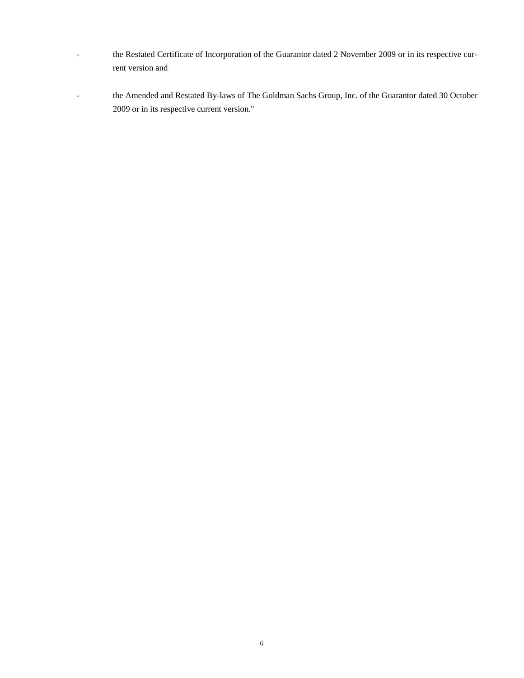- the Restated Certificate of Incorporation of the Guarantor dated 2 November 2009 or in its respective current version and
- the Amended and Restated By-laws of The Goldman Sachs Group, Inc. of the Guarantor dated 30 October 2009 or in its respective current version."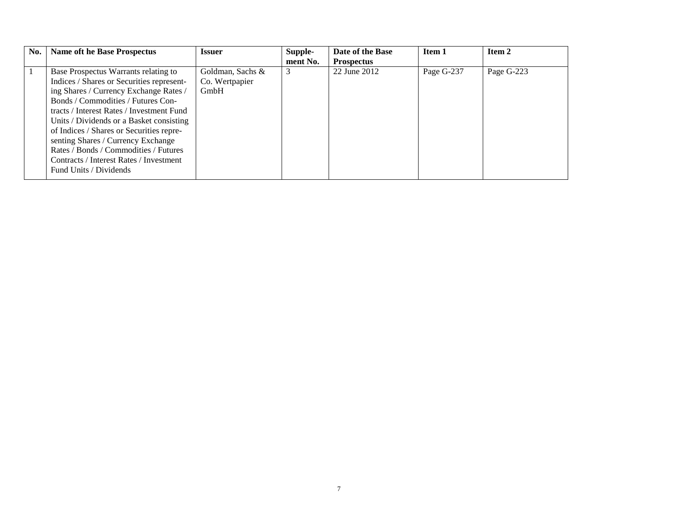| No. | <b>Name oft he Base Prospectus</b>                                                                                                                                                                                                                                                                                                                                                                                                                         | <b>Issuer</b>                              | Supple-<br>ment No. | Date of the Base<br><b>Prospectus</b> | Item 1     | Item 2     |
|-----|------------------------------------------------------------------------------------------------------------------------------------------------------------------------------------------------------------------------------------------------------------------------------------------------------------------------------------------------------------------------------------------------------------------------------------------------------------|--------------------------------------------|---------------------|---------------------------------------|------------|------------|
|     | Base Prospectus Warrants relating to<br>Indices / Shares or Securities represent-<br>ing Shares / Currency Exchange Rates /<br>Bonds / Commodities / Futures Con-<br>tracts / Interest Rates / Investment Fund<br>Units / Dividends or a Basket consisting<br>of Indices / Shares or Securities repre-<br>senting Shares / Currency Exchange<br>Rates / Bonds / Commodities / Futures<br>Contracts / Interest Rates / Investment<br>Fund Units / Dividends | Goldman, Sachs &<br>Co. Wertpapier<br>GmbH | 3                   | 22 June 2012                          | Page G-237 | Page G-223 |